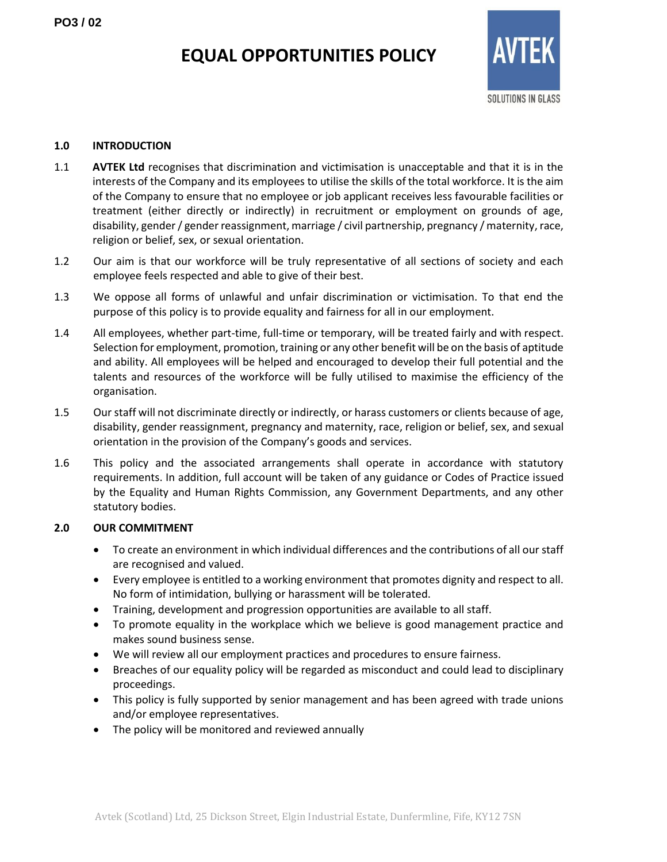# **EQUAL OPPORTUNITIES POLICY**



### **1.0 INTRODUCTION**

- 1.1 **AVTEK Ltd** recognises that discrimination and victimisation is unacceptable and that it is in the interests of the Company and its employees to utilise the skills of the total workforce. It is the aim of the Company to ensure that no employee or job applicant receives less favourable facilities or treatment (either directly or indirectly) in recruitment or employment on grounds of age, disability, gender / gender reassignment, marriage / civil partnership, pregnancy / maternity, race, religion or belief, sex, or sexual orientation.
- 1.2 Our aim is that our workforce will be truly representative of all sections of society and each employee feels respected and able to give of their best.
- 1.3 We oppose all forms of unlawful and unfair discrimination or victimisation. To that end the purpose of this policy is to provide equality and fairness for all in our employment.
- 1.4 All employees, whether part-time, full-time or temporary, will be treated fairly and with respect. Selection for employment, promotion, training or any other benefit will be on the basis of aptitude and ability. All employees will be helped and encouraged to develop their full potential and the talents and resources of the workforce will be fully utilised to maximise the efficiency of the organisation.
- 1.5 Our staff will not discriminate directly or indirectly, or harass customers or clients because of age, disability, gender reassignment, pregnancy and maternity, race, religion or belief, sex, and sexual orientation in the provision of the Company's goods and services.
- 1.6 This policy and the associated arrangements shall operate in accordance with statutory requirements. In addition, full account will be taken of any guidance or Codes of Practice issued by the Equality and Human Rights Commission, any Government Departments, and any other statutory bodies.

## **2.0 OUR COMMITMENT**

- To create an environment in which individual differences and the contributions of all our staff are recognised and valued.
- Every employee is entitled to a working environment that promotes dignity and respect to all. No form of intimidation, bullying or harassment will be tolerated.
- Training, development and progression opportunities are available to all staff.
- To promote equality in the workplace which we believe is good management practice and makes sound business sense.
- We will review all our employment practices and procedures to ensure fairness.
- Breaches of our equality policy will be regarded as misconduct and could lead to disciplinary proceedings.
- This policy is fully supported by senior management and has been agreed with trade unions and/or employee representatives.
- The policy will be monitored and reviewed annually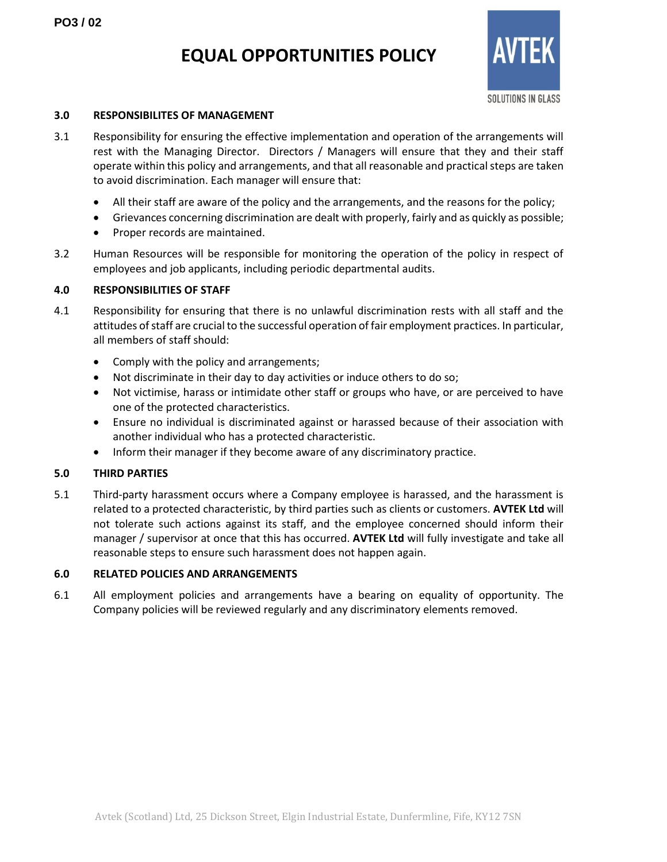# **EQUAL OPPORTUNITIES POLICY**



#### **3.0 RESPONSIBILITES OF MANAGEMENT**

- 3.1 Responsibility for ensuring the effective implementation and operation of the arrangements will rest with the Managing Director. Directors / Managers will ensure that they and their staff operate within this policy and arrangements, and that all reasonable and practical steps are taken to avoid discrimination. Each manager will ensure that:
	- All their staff are aware of the policy and the arrangements, and the reasons for the policy;
	- Grievances concerning discrimination are dealt with properly, fairly and as quickly as possible;
	- Proper records are maintained.
- 3.2 Human Resources will be responsible for monitoring the operation of the policy in respect of employees and job applicants, including periodic departmental audits.

### **4.0 RESPONSIBILITIES OF STAFF**

- 4.1 Responsibility for ensuring that there is no unlawful discrimination rests with all staff and the attitudes of staff are crucial to the successful operation of fair employment practices. In particular, all members of staff should:
	- Comply with the policy and arrangements;
	- Not discriminate in their day to day activities or induce others to do so;
	- Not victimise, harass or intimidate other staff or groups who have, or are perceived to have one of the protected characteristics.
	- Ensure no individual is discriminated against or harassed because of their association with another individual who has a protected characteristic.
	- Inform their manager if they become aware of any discriminatory practice.

### **5.0 THIRD PARTIES**

5.1 Third-party harassment occurs where a Company employee is harassed, and the harassment is related to a protected characteristic, by third parties such as clients or customers. **AVTEK Ltd** will not tolerate such actions against its staff, and the employee concerned should inform their manager / supervisor at once that this has occurred. **AVTEK Ltd** will fully investigate and take all reasonable steps to ensure such harassment does not happen again.

## **6.0 RELATED POLICIES AND ARRANGEMENTS**

6.1 All employment policies and arrangements have a bearing on equality of opportunity. The Company policies will be reviewed regularly and any discriminatory elements removed.